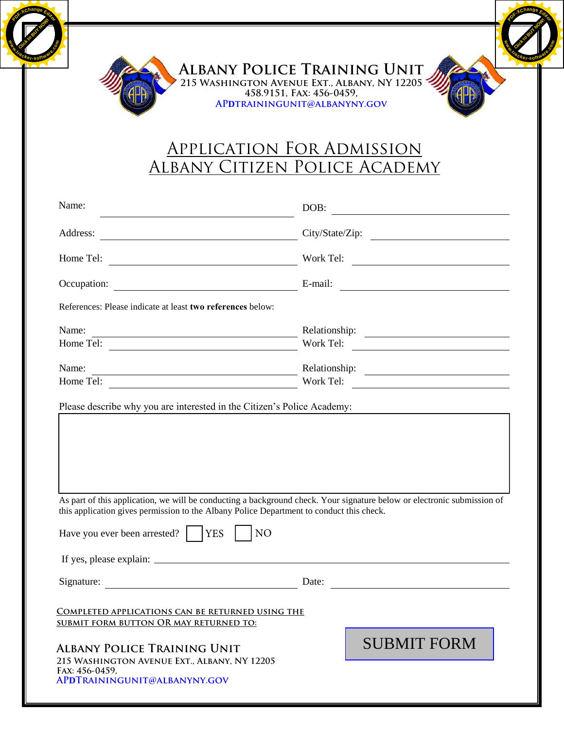

Click to Buy Now!

**.tracker-software.co<sup>m</sup>**

**<sup>P</sup>DF-XCha<sup>n</sup>g<sup>e</sup> <sup>E</sup>dito<sup>r</sup>**

**<sup>P</sup>DF-XCha<sup>n</sup>g<sup>e</sup> <sup>E</sup>dito<sup>r</sup>**

**.tracker-software.co<sup>m</sup>**

**www**

## Application For Admission Albany Citizen Police Academy

|                                                            | <b>APPLICATION FOR ADMISSION</b><br>ALBANY CITIZEN POLICE ACADEMY                                                                                                                                                                       |
|------------------------------------------------------------|-----------------------------------------------------------------------------------------------------------------------------------------------------------------------------------------------------------------------------------------|
| Name:                                                      | DOB:                                                                                                                                                                                                                                    |
| Address:                                                   | City/State/Zip:                                                                                                                                                                                                                         |
|                                                            |                                                                                                                                                                                                                                         |
| Occupation:                                                | <u> 1989 - Johann Barbara, martxa alemaniar a</u><br>E-mail: $\qquad \qquad$                                                                                                                                                            |
| References: Please indicate at least two references below: |                                                                                                                                                                                                                                         |
| Name:                                                      |                                                                                                                                                                                                                                         |
|                                                            | Work Tel:                                                                                                                                                                                                                               |
| Name:                                                      | Work Tel:                                                                                                                                                                                                                               |
|                                                            | Please describe why you are interested in the Citizen's Police Academy:                                                                                                                                                                 |
|                                                            | As part of this application, we will be conducting a background check. Your signature below or electronic submission of<br>this application gives permission to the Albany Police Department to conduct this check.<br>NO<br><b>YES</b> |
| Have you ever been arrested?                               |                                                                                                                                                                                                                                         |
|                                                            |                                                                                                                                                                                                                                         |
| Signature:                                                 | Date:                                                                                                                                                                                                                                   |